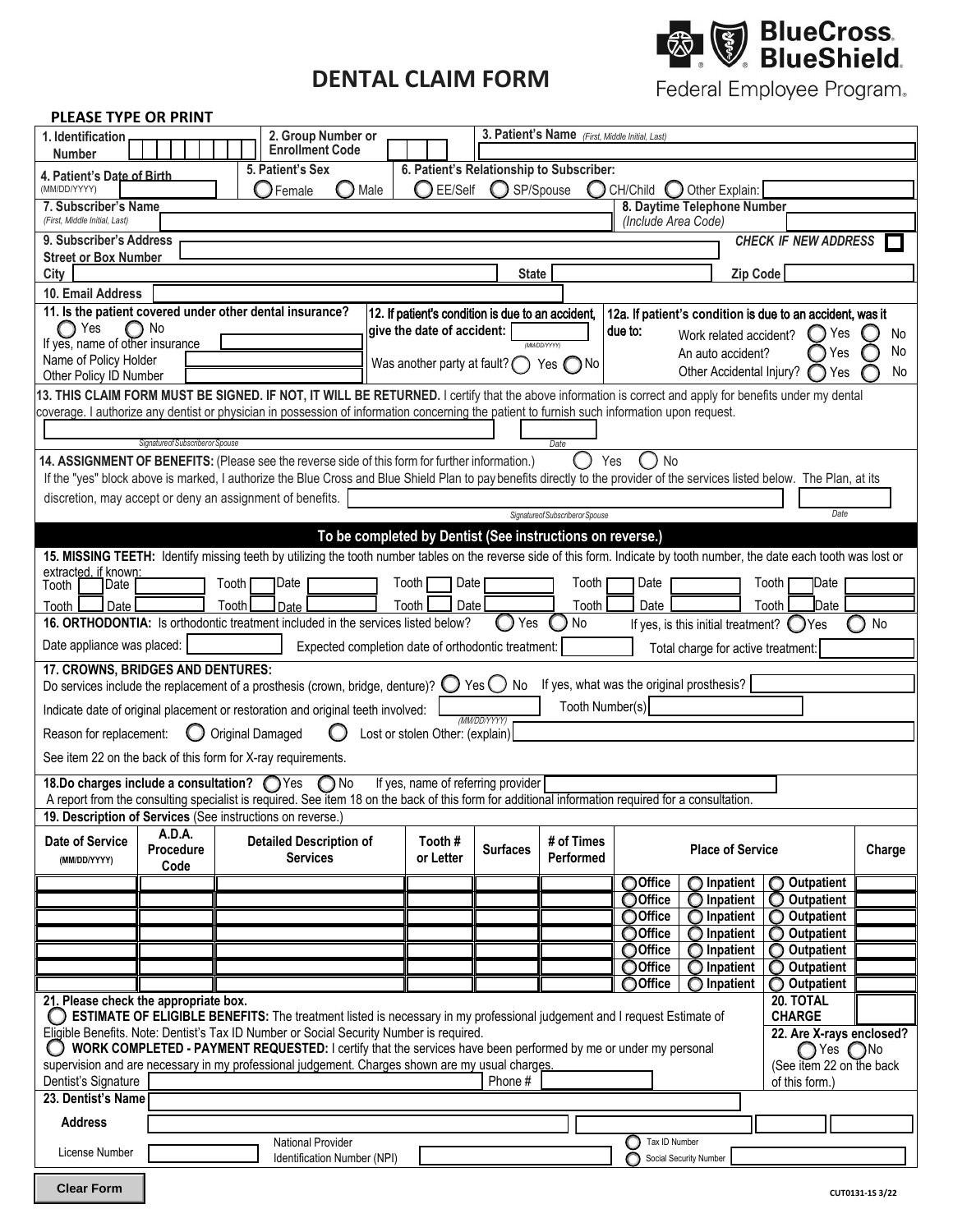# **DENTAL CLAIM FORM**



Federal Employee Program.

### **PLEASE TYPE OR PRINT**

| 1. Identification                                                                                                                                                                                                                                                                     |                                                                                                                                                                                                                                                                                                         |                    | 2. Group Number or<br><b>Enrollment Code</b>                                                                                                                                                                      |                                        |           |                                                   | 3. Patient's Name (First, Middle Initial, Last)           |                                    |                                     |                                                           |                 |  |  |
|---------------------------------------------------------------------------------------------------------------------------------------------------------------------------------------------------------------------------------------------------------------------------------------|---------------------------------------------------------------------------------------------------------------------------------------------------------------------------------------------------------------------------------------------------------------------------------------------------------|--------------------|-------------------------------------------------------------------------------------------------------------------------------------------------------------------------------------------------------------------|----------------------------------------|-----------|---------------------------------------------------|-----------------------------------------------------------|------------------------------------|-------------------------------------|-----------------------------------------------------------|-----------------|--|--|
| <b>Number</b><br>4. Patient's Date of Birth                                                                                                                                                                                                                                           |                                                                                                                                                                                                                                                                                                         |                    | 5. Patient's Sex                                                                                                                                                                                                  |                                        |           |                                                   | 6. Patient's Relationship to Subscriber:                  |                                    |                                     |                                                           |                 |  |  |
| (MM/DD/YYYY)                                                                                                                                                                                                                                                                          |                                                                                                                                                                                                                                                                                                         |                    | Male<br>Female<br>- 1                                                                                                                                                                                             |                                        | ◯ EE/Self |                                                   | SP/Spouse                                                 | CH/Child<br>$\left( \quad \right)$ | Other Explain:                      |                                                           |                 |  |  |
| 7. Subscriber's Name<br>(First, Middle Initial, Last)                                                                                                                                                                                                                                 |                                                                                                                                                                                                                                                                                                         |                    |                                                                                                                                                                                                                   |                                        |           |                                                   |                                                           | (Include Area Code)                | 8. Daytime Telephone Number         |                                                           |                 |  |  |
| 9. Subscriber's Address                                                                                                                                                                                                                                                               |                                                                                                                                                                                                                                                                                                         |                    |                                                                                                                                                                                                                   |                                        |           |                                                   |                                                           |                                    |                                     | <b>CHECK IF NEW ADDRESS</b>                               |                 |  |  |
| <b>Street or Box Number</b>                                                                                                                                                                                                                                                           |                                                                                                                                                                                                                                                                                                         |                    |                                                                                                                                                                                                                   |                                        |           |                                                   |                                                           |                                    |                                     |                                                           |                 |  |  |
| City<br>10. Email Address                                                                                                                                                                                                                                                             |                                                                                                                                                                                                                                                                                                         |                    |                                                                                                                                                                                                                   |                                        |           | <b>State</b>                                      |                                                           |                                    | Zip Code                            |                                                           |                 |  |  |
| 11. Is the patient covered under other dental insurance?                                                                                                                                                                                                                              |                                                                                                                                                                                                                                                                                                         |                    |                                                                                                                                                                                                                   |                                        |           | 12. If patient's condition is due to an accident, |                                                           |                                    |                                     | 12a. If patient's condition is due to an accident, was it |                 |  |  |
| ◯ Yes<br>If yes, name of other insurance                                                                                                                                                                                                                                              | No                                                                                                                                                                                                                                                                                                      |                    |                                                                                                                                                                                                                   | give the date of accident:             |           |                                                   | <b>MMDD/YYYY)</b>                                         | due to:                            | Work related accident?              | Yes                                                       | No              |  |  |
| Name of Policy Holder                                                                                                                                                                                                                                                                 |                                                                                                                                                                                                                                                                                                         |                    |                                                                                                                                                                                                                   | Was another party at fault? $\bigcirc$ |           |                                                   | Yes (<br>۱No                                              |                                    | An auto accident?                   | Yes                                                       | No              |  |  |
| Other Policy ID Number                                                                                                                                                                                                                                                                |                                                                                                                                                                                                                                                                                                         |                    |                                                                                                                                                                                                                   |                                        |           |                                                   |                                                           |                                    | Other Accidental Injury?            | Yes                                                       | No              |  |  |
|                                                                                                                                                                                                                                                                                       | 13. THIS CLAIM FORM MUST BE SIGNED. IF NOT, IT WILL BE RETURNED. I certify that the above information is correct and apply for benefits under my dental<br>coverage. I authorize any dentist or physician in possession of information concerning the patient to furnish such information upon request. |                    |                                                                                                                                                                                                                   |                                        |           |                                                   |                                                           |                                    |                                     |                                                           |                 |  |  |
| Signature of Subscriber or Spouse                                                                                                                                                                                                                                                     |                                                                                                                                                                                                                                                                                                         |                    |                                                                                                                                                                                                                   |                                        |           |                                                   |                                                           |                                    |                                     |                                                           |                 |  |  |
|                                                                                                                                                                                                                                                                                       |                                                                                                                                                                                                                                                                                                         |                    |                                                                                                                                                                                                                   |                                        |           |                                                   | Date                                                      | <b>No</b>                          |                                     |                                                           |                 |  |  |
| 14. ASSIGNMENT OF BENEFITS: (Please see the reverse side of this form for further information.)<br>Yes<br>If the "yes" block above is marked, I authorize the Blue Cross and Blue Shield Plan to pay benefits directly to the provider of the services listed below. The Plan, at its |                                                                                                                                                                                                                                                                                                         |                    |                                                                                                                                                                                                                   |                                        |           |                                                   |                                                           |                                    |                                     |                                                           |                 |  |  |
| discretion, may accept or deny an assignment of benefits.                                                                                                                                                                                                                             |                                                                                                                                                                                                                                                                                                         |                    |                                                                                                                                                                                                                   |                                        |           |                                                   |                                                           |                                    |                                     |                                                           |                 |  |  |
|                                                                                                                                                                                                                                                                                       |                                                                                                                                                                                                                                                                                                         |                    |                                                                                                                                                                                                                   |                                        |           |                                                   | Signatureof Subscriberor Spouse                           |                                    |                                     | Date                                                      |                 |  |  |
|                                                                                                                                                                                                                                                                                       |                                                                                                                                                                                                                                                                                                         |                    | 15. MISSING TEETH: Identify missing teeth by utilizing the tooth number tables on the reverse side of this form. Indicate by tooth number, the date each tooth was lost or                                        |                                        |           |                                                   | To be completed by Dentist (See instructions on reverse.) |                                    |                                     |                                                           |                 |  |  |
| extracted, if known.                                                                                                                                                                                                                                                                  |                                                                                                                                                                                                                                                                                                         |                    |                                                                                                                                                                                                                   |                                        |           |                                                   |                                                           |                                    |                                     |                                                           |                 |  |  |
| Date<br>Tooth                                                                                                                                                                                                                                                                         |                                                                                                                                                                                                                                                                                                         | Tooth <b>[</b>     | <b>Date</b>                                                                                                                                                                                                       | Tooth                                  | Date      |                                                   | Tooth                                                     | Date                               |                                     | Tooth<br><b>Date</b>                                      |                 |  |  |
| Date<br>Tooth<br>Date<br>Tooth<br>Date<br>Tooth<br>Date<br>Date<br>Tooth<br>Tooth<br>16. ORTHODONTIA: Is orthodontic treatment included in the services listed below?<br>No<br>Yes<br>No<br>If yes, is this initial treatment? $\bigcirc$ Yes                                         |                                                                                                                                                                                                                                                                                                         |                    |                                                                                                                                                                                                                   |                                        |           |                                                   |                                                           |                                    |                                     |                                                           |                 |  |  |
| Date appliance was placed:<br>Expected completion date of orthodontic treatment:<br>Total charge for active treatment:                                                                                                                                                                |                                                                                                                                                                                                                                                                                                         |                    |                                                                                                                                                                                                                   |                                        |           |                                                   |                                                           |                                    |                                     |                                                           |                 |  |  |
| 17. CROWNS, BRIDGES AND DENTURES:                                                                                                                                                                                                                                                     |                                                                                                                                                                                                                                                                                                         |                    |                                                                                                                                                                                                                   |                                        |           |                                                   |                                                           |                                    |                                     |                                                           |                 |  |  |
| If yes, what was the original prosthesis?<br>Do services include the replacement of a prosthesis (crown, bridge, denture)? $\bigcirc$ Yes $\bigcirc$<br>No<br>Tooth Number(s)                                                                                                         |                                                                                                                                                                                                                                                                                                         |                    |                                                                                                                                                                                                                   |                                        |           |                                                   |                                                           |                                    |                                     |                                                           |                 |  |  |
|                                                                                                                                                                                                                                                                                       |                                                                                                                                                                                                                                                                                                         |                    | Indicate date of original placement or restoration and original teeth involved:                                                                                                                                   |                                        |           | (MM/DD/YYYY)                                      |                                                           |                                    |                                     |                                                           |                 |  |  |
| Reason for replacement:                                                                                                                                                                                                                                                               |                                                                                                                                                                                                                                                                                                         | O Original Damaged | ( )                                                                                                                                                                                                               | Lost or stolen Other: (explain)        |           |                                                   |                                                           |                                    |                                     |                                                           |                 |  |  |
| See item 22 on the back of this form for X-ray requirements.                                                                                                                                                                                                                          |                                                                                                                                                                                                                                                                                                         |                    |                                                                                                                                                                                                                   |                                        |           |                                                   |                                                           |                                    |                                     |                                                           |                 |  |  |
| 18.Do charges include a consultation? Thes                                                                                                                                                                                                                                            |                                                                                                                                                                                                                                                                                                         |                    | ∩No<br>A report from the consulting specialist is required. See item 18 on the back of this form for additional information required for a consultation.                                                          |                                        |           | If yes, name of referring provider                |                                                           |                                    |                                     |                                                           |                 |  |  |
| 19. Description of Services (See instructions on reverse.)                                                                                                                                                                                                                            |                                                                                                                                                                                                                                                                                                         |                    |                                                                                                                                                                                                                   |                                        |           |                                                   |                                                           |                                    |                                     |                                                           |                 |  |  |
| <b>Date of Service</b>                                                                                                                                                                                                                                                                | A.D.A.<br>Procedure                                                                                                                                                                                                                                                                                     |                    | <b>Detailed Description of</b>                                                                                                                                                                                    |                                        | Tooth#    | <b>Surfaces</b>                                   | # of Times                                                |                                    | <b>Place of Service</b>             |                                                           | Charge          |  |  |
| (MM/DD/YYYY)                                                                                                                                                                                                                                                                          | Code                                                                                                                                                                                                                                                                                                    |                    | <b>Services</b>                                                                                                                                                                                                   |                                        | or Letter |                                                   | Performed                                                 |                                    |                                     |                                                           |                 |  |  |
|                                                                                                                                                                                                                                                                                       |                                                                                                                                                                                                                                                                                                         |                    |                                                                                                                                                                                                                   |                                        |           |                                                   |                                                           | OOffice<br>OOffice                 | O Inpatient<br>$\bigcirc$ Inpatient | Outpatient<br>O<br>Outpatient<br>O                        |                 |  |  |
|                                                                                                                                                                                                                                                                                       |                                                                                                                                                                                                                                                                                                         |                    |                                                                                                                                                                                                                   |                                        |           |                                                   |                                                           | OOffice                            | Inpatient<br>O                      | Outpatient<br>O                                           |                 |  |  |
|                                                                                                                                                                                                                                                                                       |                                                                                                                                                                                                                                                                                                         |                    |                                                                                                                                                                                                                   |                                        |           |                                                   |                                                           | OOffice                            | Inpatient<br>O                      | Outpatient<br>O                                           |                 |  |  |
|                                                                                                                                                                                                                                                                                       |                                                                                                                                                                                                                                                                                                         |                    |                                                                                                                                                                                                                   |                                        |           |                                                   |                                                           | ◯ Office<br>OOffice                | O Inpatient<br>Inpatient            | O Outpatient<br>O Outpatient                              |                 |  |  |
|                                                                                                                                                                                                                                                                                       |                                                                                                                                                                                                                                                                                                         |                    |                                                                                                                                                                                                                   |                                        |           |                                                   |                                                           | OOffice                            | Inpatient                           | O Outpatient                                              |                 |  |  |
| 21. Please check the appropriate box.                                                                                                                                                                                                                                                 |                                                                                                                                                                                                                                                                                                         |                    | ESTIMATE OF ELIGIBLE BENEFITS: The treatment listed is necessary in my professional judgement and I request Estimate of                                                                                           |                                        |           |                                                   |                                                           |                                    |                                     | 20. TOTAL<br><b>CHARGE</b>                                |                 |  |  |
|                                                                                                                                                                                                                                                                                       |                                                                                                                                                                                                                                                                                                         |                    | Eligible Benefits. Note: Dentist's Tax ID Number or Social Security Number is required.                                                                                                                           |                                        |           |                                                   |                                                           |                                    |                                     | 22. Are X-rays enclosed?                                  |                 |  |  |
|                                                                                                                                                                                                                                                                                       |                                                                                                                                                                                                                                                                                                         |                    | WORK COMPLETED - PAYMENT REQUESTED: I certify that the services have been performed by me or under my personal<br>supervision and are necessary in my professional judgement. Charges shown are my usual charges. |                                        |           |                                                   |                                                           |                                    |                                     | $\bigcap$ Yes $\bigcap$ No<br>(See item 22 on the back    |                 |  |  |
| Dentist's Signature                                                                                                                                                                                                                                                                   |                                                                                                                                                                                                                                                                                                         |                    |                                                                                                                                                                                                                   |                                        |           | Phone #                                           |                                                           |                                    |                                     | of this form.)                                            |                 |  |  |
| 23. Dentist's Name                                                                                                                                                                                                                                                                    |                                                                                                                                                                                                                                                                                                         |                    |                                                                                                                                                                                                                   |                                        |           |                                                   |                                                           |                                    |                                     |                                                           |                 |  |  |
| <b>Address</b>                                                                                                                                                                                                                                                                        |                                                                                                                                                                                                                                                                                                         |                    |                                                                                                                                                                                                                   |                                        |           |                                                   |                                                           |                                    |                                     |                                                           |                 |  |  |
| License Number                                                                                                                                                                                                                                                                        |                                                                                                                                                                                                                                                                                                         |                    | <b>National Provider</b><br>Identification Number (NPI)                                                                                                                                                           |                                        |           |                                                   |                                                           | O<br>Tax ID Number                 | Social Security Number              |                                                           |                 |  |  |
| <b>Clear Form</b>                                                                                                                                                                                                                                                                     |                                                                                                                                                                                                                                                                                                         |                    |                                                                                                                                                                                                                   |                                        |           |                                                   |                                                           |                                    |                                     |                                                           | CUT0131-1S 3/22 |  |  |